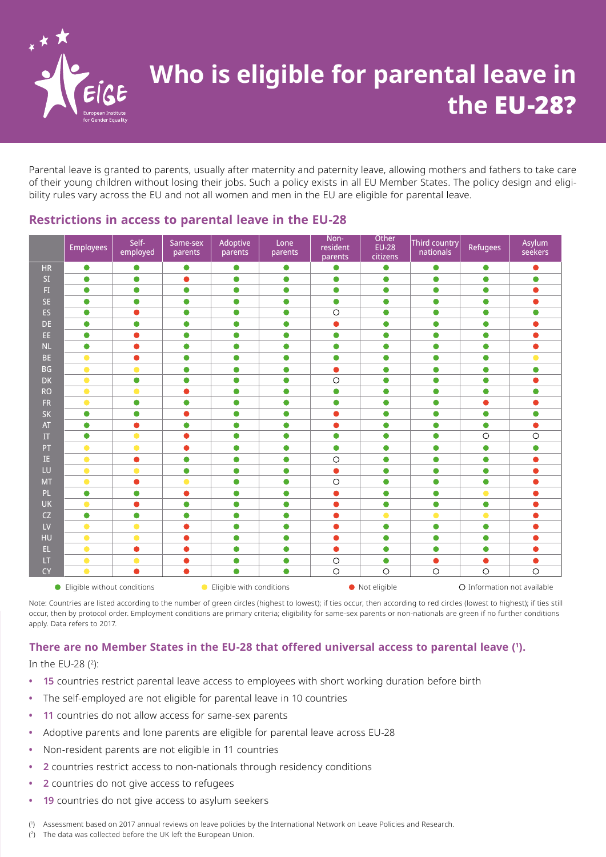

# **Who is eligible for parental leave in the** EU-28?

Parental leave is granted to parents, usually after maternity and paternity leave, allowing mothers and fathers to take care of their young children without losing their jobs. Such a policy exists in all EU Member States. The policy design and eligibility rules vary across the EU and not all women and men in the EU are eligible for parental leave.

|                    | <b>Employees</b> | Self-<br>employed | Same-sex<br>parents | Adoptive<br>parents | Lone<br>parents | Non-<br>resident<br>parents | Other<br><b>EU-28</b><br>citizens | Third country<br>nationals | <b>Refugees</b> | Asylum<br>seekers |
|--------------------|------------------|-------------------|---------------------|---------------------|-----------------|-----------------------------|-----------------------------------|----------------------------|-----------------|-------------------|
| HR                 | $\bullet$        | $\bullet$         | $\bullet$           | $\bullet$           | $\bullet$       | $\bullet$                   | $\bullet$                         | $\bullet$                  | $\bullet$       | $\bullet$         |
| SI                 | $\bullet$        | $\bullet$         | $\bullet$           | $\bullet$           | $\bullet$       | $\bullet$                   | $\bullet$                         | $\bullet$                  | $\bullet$       | $\bullet$         |
| F1                 | $\bullet$        | $\bullet$         | $\bullet$           | $\bullet$           | $\bullet$       | $\bullet$                   | $\bullet$                         | $\bullet$                  | $\bullet$       | $\bullet$         |
| <b>SE</b>          | $\bullet$        | $\bullet$         | $\bullet$           | $\bullet$           | $\bullet$       | $\bullet$                   | $\bullet$                         | $\bullet$                  | $\bullet$       | ●                 |
| ES                 | $\bullet$        | $\bullet$         | $\bullet$           | $\bullet$           | $\bullet$       | $\circ$                     | $\bullet$                         | $\bullet$                  | $\bullet$       | $\bullet$         |
| DE.                | $\bullet$        | $\bullet$         | $\bullet$           | $\bullet$           | $\bullet$       | $\bullet$                   | $\bullet$                         | $\bullet$                  | $\bullet$       | $\bullet$         |
| EE.                | $\bullet$        | $\bullet$         | $\bullet$           | $\bullet$           | $\bullet$       | $\bullet$                   | $\bullet$                         | $\bullet$                  | $\bullet$       |                   |
| <b>NL</b>          | $\bullet$        | $\bullet$         | $\bullet$           | $\bullet$           | $\bullet$       | $\bullet$                   | $\bullet$                         | $\bullet$                  | $\bullet$       | $\bullet$         |
| <b>BE</b>          | $\bullet$        | $\bullet$         | $\bullet$           | $\bullet$           | $\bullet$       | $\bullet$                   | $\bullet$                         | $\bullet$                  | $\bullet$       | $\bullet$         |
| <b>BG</b>          | $\bullet$        | $\bullet$         | $\bullet$           | $\bullet$           | $\bullet$       | $\bullet$                   | $\bullet$                         | $\bullet$                  | $\bullet$       | $\bullet$         |
| <b>DK</b>          | $\bullet$        | $\bullet$         | $\bullet$           | $\bullet$           | $\bullet$       | $\circ$                     | $\bullet$                         | $\bullet$                  | $\bullet$       | $\bullet$         |
| <b>RO</b>          | $\bullet$        | $\bullet$         | ٠                   | $\bullet$           | $\bullet$       | $\bullet$                   | $\bullet$                         | $\bullet$                  | $\bullet$       | $\bullet$         |
| <b>FR</b>          | $\bullet$        | $\bullet$         | $\bullet$           | $\bullet$           | $\bullet$       | $\bullet$                   | $\bullet$                         | $\bullet$                  | $\bullet$       | ●                 |
| <b>SK</b>          | $\bullet$        | $\bullet$         | ●                   | $\bullet$           | $\bullet$       | $\bullet$                   | $\bullet$                         | $\bullet$                  | $\bullet$       | $\bullet$         |
| AT                 | $\bullet$        | $\bullet$         | $\bullet$           | $\bullet$           | $\bullet$       | $\bullet$                   | $\bullet$                         | $\bullet$                  | $\bullet$       | $\bullet$         |
| $\boldsymbol{\Pi}$ | $\bullet$        | $\bullet$         | Ο                   | $\bullet$           | $\bullet$       | $\bullet$                   | $\bullet$                         | $\bullet$                  | $\circ$         | $\circ$           |
| PT                 | $\bullet$        | $\bullet$         | 0                   | $\bullet$           | $\bullet$       | $\bullet$                   | $\bullet$                         | $\bullet$                  | $\bullet$       | $\bullet$         |
| IE.                | $\bullet$        | $\bullet$         | $\bullet$           | $\bullet$           | $\bullet$       | $\circ$                     | $\bullet$                         | $\bullet$                  | $\bullet$       | $\bullet$         |
| LU                 | $\bullet$        | $\bullet$         | $\bullet$           | $\bullet$           | $\bullet$       | $\bullet$                   | $\bullet$                         | $\bullet$                  | $\bullet$       | ●                 |
| <b>MT</b>          | $\bullet$        | $\bullet$         | $\bullet$           | $\bullet$           | $\bullet$       | $\bigcirc$                  | $\bullet$                         | $\bullet$                  | $\bullet$       |                   |
| PL.                | $\bullet$        | $\bullet$         | ۸                   | $\bullet$           | $\bullet$       | $\bullet$                   | $\bullet$                         | $\bullet$                  | $\bullet$       | ●                 |
| <b>UK</b>          | $\bullet$        | $\bullet$         | $\bullet$           | $\bullet$           | $\bullet$       | $\bullet$                   | $\bullet$                         | $\bullet$                  | $\bullet$       | Δ                 |
| CZ                 | $\bullet$        | $\bullet$         | $\bullet$           | $\bullet$           | $\bullet$       | $\bullet$                   | $\bullet$                         | $\bullet$                  | $\bullet$       |                   |
| LV                 | $\bullet$        | $\bullet$         | Ο                   | $\bullet$           | $\bullet$       | 0                           | $\bullet$                         | $\bullet$                  | $\bullet$       |                   |
| HU                 | $\bullet$        | $\bullet$         | $\bullet$           | $\bullet$           | $\bullet$       | $\bullet$                   | $\bullet$                         | $\bullet$                  | $\bullet$       | $\bullet$         |
| EL.                | $\bullet$        | $\bullet$         | O                   | $\bullet$           | $\bullet$       | $\bullet$                   | $\bullet$                         | $\bullet$                  | $\bullet$       |                   |
| LT.                | $\bullet$        | $\bullet$         | $\bullet$           | $\bullet$           | $\bullet$       | $\circ$                     | $\bullet$                         | $\bullet$                  |                 | $\bullet$         |
| <b>CY</b>          | $\bullet$        | $\bullet$         | $\bullet$           | ●                   | $\bullet$       | $\bigcirc$                  | $\circ$                           | $\bigcirc$                 | $\circ$         | $\bigcirc$        |

### **Restrictions in access to parental leave in the EU-28**

Note: Countries are listed according to the number of green circles (highest to lowest); if ties occur, then according to red circles (lowest to highest); if ties still occur, then by protocol order. Employment conditions are primary criteria; eligibility for same-sex parents or non-nationals are green if no further conditions apply. Data refers to 2017.

#### **There are no Member States in the EU-28 that offered universal access to parental leave ( 1 ).**

#### In the EU-28 ( 2):

- **• 15** countries restrict parental leave access to employees with short working duration before birth
- **•** The self-employed are not eligible for parental leave in 10 countries
- **• 11** countries do not allow access for same-sex parents
- **•** Adoptive parents and lone parents are eligible for parental leave across EU-28
- **•** Non-resident parents are not eligible in 11 countries
- **• 2** countries restrict access to non-nationals through residency conditions
- **• 2** countries do not give access to refugees
- **• 19** countries do not give access to asylum seekers

( 1 ) Assessment based on 2017 annual reviews on leave policies by the International Network on Leave Policies and Research.

 $(2)$ The data was collected before the UK left the European Union.